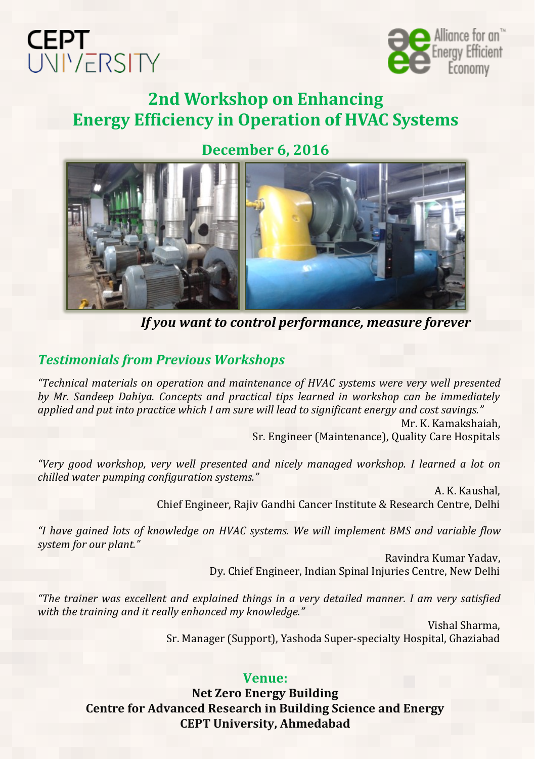



# **2nd Workshop on Enhancing Energy Efficiency in Operation of HVAC Systems**

**December 6, 2016**



*If you want to control performance, measure forever*

#### *Testimonials from Previous Workshops*

*"Technical materials on operation and maintenance of HVAC systems were very well presented by Mr. Sandeep Dahiya. Concepts and practical tips learned in workshop can be immediately applied and put into practice which I am sure will lead to significant energy and cost savings."*

> Mr. K. Kamakshaiah, Sr. Engineer (Maintenance), Quality Care Hospitals

*"Very good workshop, very well presented and nicely managed workshop. I learned a lot on chilled water pumping configuration systems."*

A. K. Kaushal, Chief Engineer, Rajiv Gandhi Cancer Institute & Research Centre, Delhi

*"I have gained lots of knowledge on HVAC systems. We will implement BMS and variable flow system for our plant."*

> Ravindra Kumar Yadav, Dy. Chief Engineer, Indian Spinal Injuries Centre, New Delhi

*"The trainer was excellent and explained things in a very detailed manner. I am very satisfied with the training and it really enhanced my knowledge."*

> Vishal Sharma, Sr. Manager (Support), Yashoda Super-specialty Hospital, Ghaziabad

#### **Venue:**

**Net Zero Energy Building Centre for Advanced Research in Building Science and Energy CEPT University, Ahmedabad**